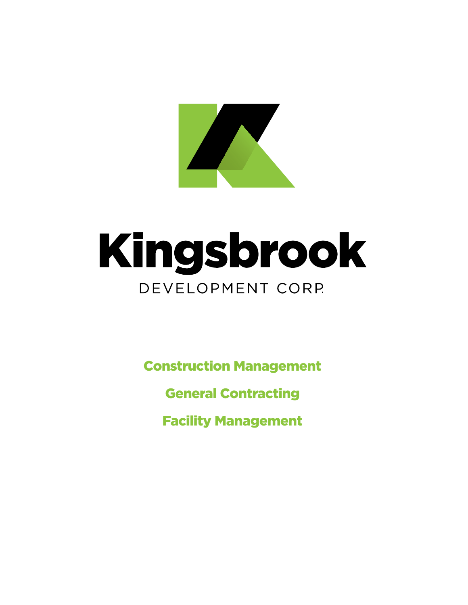

# Kingsbrook DEVELOPMENT CORP.

**Construction Management** 

**General Contracting** 

**Facility Management**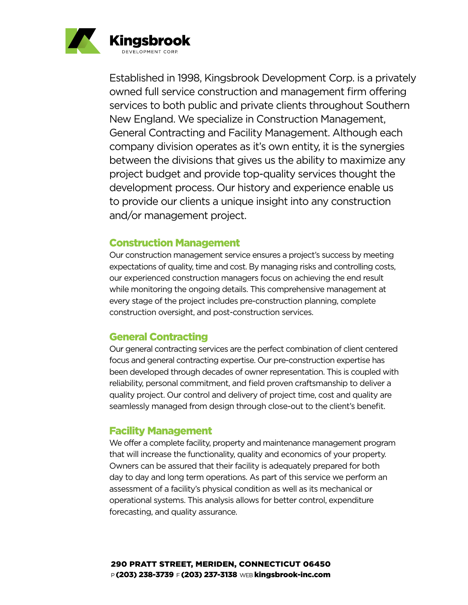

Established in 1998, Kingsbrook Development Corp. is a privately owned full service construction and management firm offering services to both public and private clients throughout Southern New England. We specialize in Construction Management, General Contracting and Facility Management. Although each company division operates as it's own entity, it is the synergies between the divisions that gives us the ability to maximize any project budget and provide top-quality services thought the development process. Our history and experience enable us to provide our clients a unique insight into any construction and/or management project.

#### Construction Management

Our construction management service ensures a project's success by meeting expectations of quality, time and cost. By managing risks and controlling costs, our experienced construction managers focus on achieving the end result while monitoring the ongoing details. This comprehensive management at every stage of the project includes pre-construction planning, complete construction oversight, and post-construction services.

# General Contracting

Our general contracting services are the perfect combination of client centered focus and general contracting expertise. Our pre-construction expertise has been developed through decades of owner representation. This is coupled with reliability, personal commitment, and field proven craftsmanship to deliver a quality project. Our control and delivery of project time, cost and quality are seamlessly managed from design through close-out to the client's benefit.

#### Facility Management

We offer a complete facility, property and maintenance management program that will increase the functionality, quality and economics of your property. Owners can be assured that their facility is adequately prepared for both day to day and long term operations. As part of this service we perform an assessment of a facility's physical condition as well as its mechanical or operational systems. This analysis allows for better control, expenditure forecasting, and quality assurance.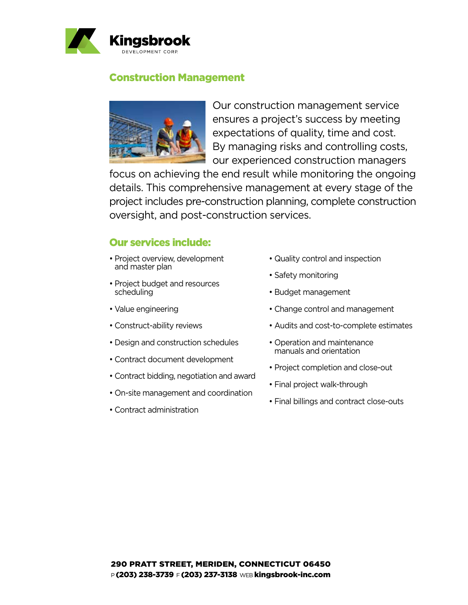

#### Construction Management



Our construction management service ensures a project's success by meeting expectations of quality, time and cost. By managing risks and controlling costs, our experienced construction managers

focus on achieving the end result while monitoring the ongoing details. This comprehensive management at every stage of the project includes pre-construction planning, complete construction oversight, and post-construction services.

# Our services include:

- Project overview, development and master plan
- Project budget and resources scheduling
- Value engineering
- Construct-ability reviews
- Design and construction schedules
- Contract document development
- Contract bidding, negotiation and award
- On-site management and coordination
- Contract administration
- Quality control and inspection
- Safety monitoring
- Budget management
- Change control and management
- Audits and cost-to-complete estimates
- Operation and maintenance manuals and orientation
- Project completion and close-out
- Final project walk-through
- Final billings and contract close-outs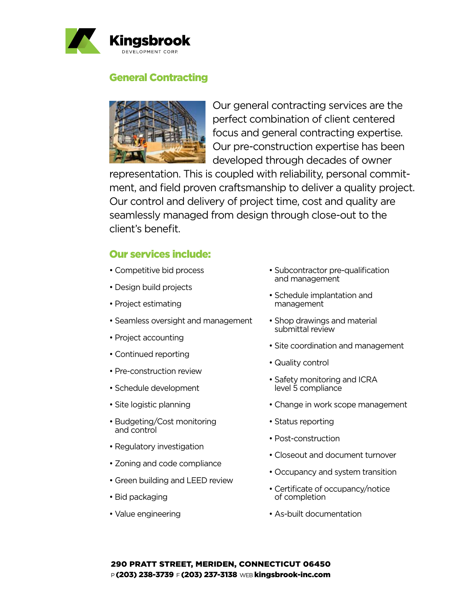

#### General Contracting



Our general contracting services are the perfect combination of client centered focus and general contracting expertise. Our pre-construction expertise has been developed through decades of owner

representation. This is coupled with reliability, personal commitment, and field proven craftsmanship to deliver a quality project. Our control and delivery of project time, cost and quality are seamlessly managed from design through close-out to the client's benefit.

# Our services include:

- Competitive bid process
- Design build projects
- Project estimating
- Seamless oversight and management
- Project accounting
- Continued reporting
- Pre-construction review
- Schedule development
- Site logistic planning
- Budgeting/Cost monitoring and control
- Regulatory investigation
- Zoning and code compliance
- $\bullet$  Green building and LEED review  $\hspace{0.1cm}\bullet$
- Bid packaging
- Value engineering
- Subcontractor pre-qualification and management
- Schedule implantation and management
- Shop drawings and material submittal review
- Site coordination and management
- Quality control
- Safety monitoring and ICRA level 5 compliance
- Change in work scope management
- Status reporting
- Post-construction
- erganism Closeout and document turnover
	- Occupancy and system transition
	- Certificate of occupancy/notice of completion e of  $\overline{S}$ 
		- As-built documentation